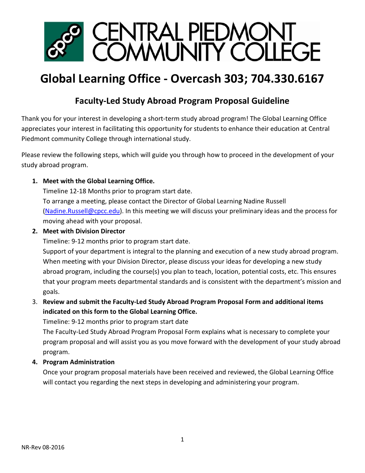

# **Global Learning Office - Overcash 303; 704.330.6167**

# **Faculty-Led Study Abroad Program Proposal Guideline**

Thank you for your interest in developing a short-term study abroad program! The Global Learning Office appreciates your interest in facilitating this opportunity for students to enhance their education at Central Piedmont community College through international study.

Please review the following steps, which will guide you through how to proceed in the development of your study abroad program.

# **1. Meet with the Global Learning Office.**

Timeline 12-18 Months prior to program start date.

To arrange a meeting, please contact the Director of Global Learning Nadine Russell [\(Nadine.Russell@cpcc.edu\)](mailto:Nadine.Russell@cpcc.edu). In this meeting we will discuss your preliminary ideas and the process for moving ahead with your proposal.

# **2. Meet with Division Director**

Timeline: 9-12 months prior to program start date.

Support of your department is integral to the planning and execution of a new study abroad program. When meeting with your Division Director, please discuss your ideas for developing a new study abroad program, including the course(s) you plan to teach, location, potential costs, etc. This ensures that your program meets departmental standards and is consistent with the department's mission and goals.

# 3. **Review and submit the Faculty-Led Study Abroad Program Proposal Form and additional items indicated on this form to the Global Learning Office.**

Timeline: 9-12 months prior to program start date

The Faculty-Led Study Abroad Program Proposal Form explains what is necessary to complete your program proposal and will assist you as you move forward with the development of your study abroad program.

# **4. Program Administration**

Once your program proposal materials have been received and reviewed, the Global Learning Office will contact you regarding the next steps in developing and administering your program.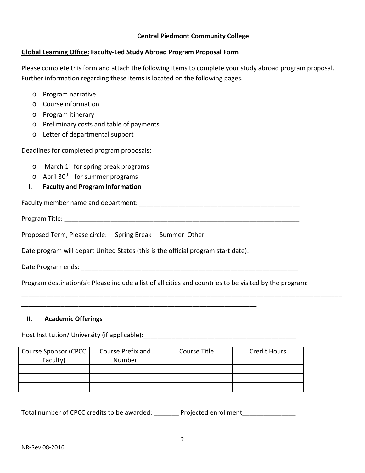#### **Central Piedmont Community College**

#### **Global Learning Office: Faculty-Led Study Abroad Program Proposal Form**

Please complete this form and attach the following items to complete your study abroad program proposal. Further information regarding these items is located on the following pages.

- o Program narrative
- o Course information
- o Program itinerary
- o Preliminary costs and table of payments
- o Letter of departmental support

Deadlines for completed program proposals:

- $\circ$  March 1<sup>st</sup> for spring break programs
- $\circ$  April 30<sup>th</sup> for summer programs
- I. **Faculty and Program Information**

Faculty member name and department: \_\_\_\_\_\_\_\_\_\_\_\_\_\_\_\_\_\_\_\_\_\_\_\_\_\_\_\_\_\_\_\_\_\_\_\_\_\_\_\_\_\_\_\_\_

Program Title: \_\_\_\_\_\_\_\_\_\_\_\_\_\_\_\_\_\_\_\_\_\_\_\_\_\_\_\_\_\_\_\_\_\_\_\_\_\_\_\_\_\_\_\_\_\_\_\_\_\_\_\_\_\_\_\_\_\_\_\_\_\_\_\_\_\_

Proposed Term, Please circle: Spring Break Summer Other

Date program will depart United States (this is the official program start date):

\_\_\_\_\_\_\_\_\_\_\_\_\_\_\_\_\_\_\_\_\_\_\_\_\_\_\_\_\_\_\_\_\_\_\_\_\_\_\_\_\_\_\_\_\_\_\_\_\_\_\_\_\_\_\_\_\_\_\_\_\_\_\_\_\_\_

Date Program ends: **with a set of the set of the set of the set of the set of the set of the set of the set of the set of the set of the set of the set of the set of the set of the set of the set of the set of the set of t** 

Program destination(s): Please include a list of all cities and countries to be visited by the program:

\_\_\_\_\_\_\_\_\_\_\_\_\_\_\_\_\_\_\_\_\_\_\_\_\_\_\_\_\_\_\_\_\_\_\_\_\_\_\_\_\_\_\_\_\_\_\_\_\_\_\_\_\_\_\_\_\_\_\_\_\_\_\_\_\_\_\_\_\_\_\_\_\_\_\_\_\_\_\_\_\_\_\_\_\_\_\_\_\_\_

#### **II. Academic Offerings**

Host Institution/ University (if applicable): \_\_\_\_\_\_\_\_\_\_\_\_\_\_\_\_\_\_\_\_\_\_\_\_\_\_\_\_\_\_\_\_\_\_

| <b>Course Sponsor (CPCC</b> | Course Prefix and | Course Title | <b>Credit Hours</b> |
|-----------------------------|-------------------|--------------|---------------------|
| Faculty)                    | Number            |              |                     |
|                             |                   |              |                     |
|                             |                   |              |                     |
|                             |                   |              |                     |

Total number of CPCC credits to be awarded: \_\_\_\_\_\_\_\_ Projected enrollment \_\_\_\_\_\_\_\_\_\_\_\_\_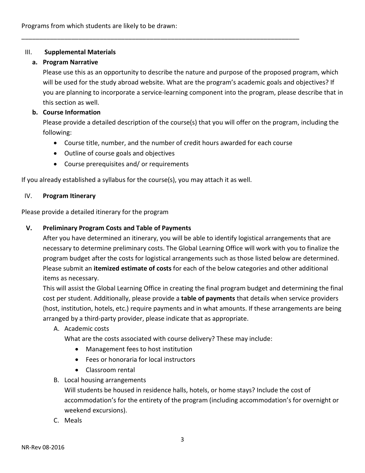#### III. **Supplemental Materials**

#### **a. Program Narrative**

Please use this as an opportunity to describe the nature and purpose of the proposed program, which will be used for the study abroad website. What are the program's academic goals and objectives? If you are planning to incorporate a service-learning component into the program, please describe that in this section as well.

#### **b. Course Information**

Please provide a detailed description of the course(s) that you will offer on the program, including the following:

• Course title, number, and the number of credit hours awarded for each course

\_\_\_\_\_\_\_\_\_\_\_\_\_\_\_\_\_\_\_\_\_\_\_\_\_\_\_\_\_\_\_\_\_\_\_\_\_\_\_\_\_\_\_\_\_\_\_\_\_\_\_\_\_\_\_\_\_\_\_\_\_\_\_\_\_\_\_\_\_\_\_\_\_\_\_\_\_\_

- Outline of course goals and objectives
- Course prerequisites and/ or requirements

If you already established a syllabus for the course(s), you may attach it as well.

#### IV. **Program Itinerary**

Please provide a detailed itinerary for the program

#### **V. Preliminary Program Costs and Table of Payments**

After you have determined an itinerary, you will be able to identify logistical arrangements that are necessary to determine preliminary costs. The Global Learning Office will work with you to finalize the program budget after the costs for logistical arrangements such as those listed below are determined. Please submit an **itemized estimate of costs** for each of the below categories and other additional items as necessary.

This will assist the Global Learning Office in creating the final program budget and determining the final cost per student. Additionally, please provide a **table of payments** that details when service providers (host, institution, hotels, etc.) require payments and in what amounts. If these arrangements are being arranged by a third-party provider, please indicate that as appropriate.

A. Academic costs

What are the costs associated with course delivery? These may include:

- Management fees to host institution
- Fees or honoraria for local instructors
- Classroom rental
- B. Local housing arrangements

Will students be housed in residence halls, hotels, or home stays? Include the cost of accommodation's for the entirety of the program (including accommodation's for overnight or weekend excursions).

C. Meals